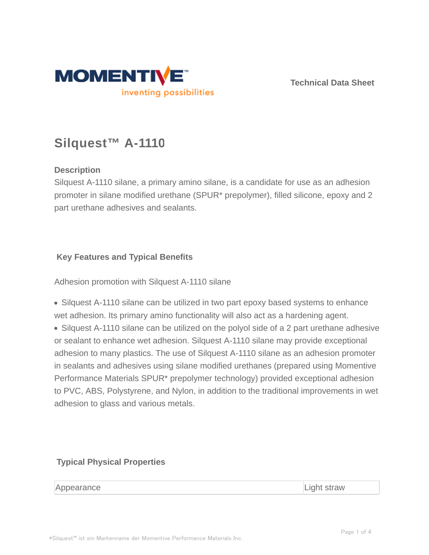

**Technical Data Sheet**

# **Silquest™ A-1110**

# **Description**

Silquest A-1110 silane, a primary amino silane, is a candidate for use as an adhesion promoter in silane modified urethane (SPUR\* prepolymer), filled silicone, epoxy and 2 part urethane adhesives and sealants.

# **Key Features and Typical Benefits**

Adhesion promotion with Silquest A-1110 silane

• Silquest A-1110 silane can be utilized in two part epoxy based systems to enhance wet adhesion. Its primary amino functionality will also act as a hardening agent.

• Silquest A-1110 silane can be utilized on the polyol side of a 2 part urethane adhesive or sealant to enhance wet adhesion. Silquest A-1110 silane may provide exceptional adhesion to many plastics. The use of Silquest A-1110 silane as an adhesion promoter in sealants and adhesives using silane modified urethanes (prepared using Momentive Performance Materials SPUR\* prepolymer technology) provided exceptional adhesion to PVC, ABS, Polystyrene, and Nylon, in addition to the traditional improvements in wet adhesion to glass and various metals.

## **Typical Physical Properties**

Appearance Light straw Light straw Light straw Light straw Light straw Light straw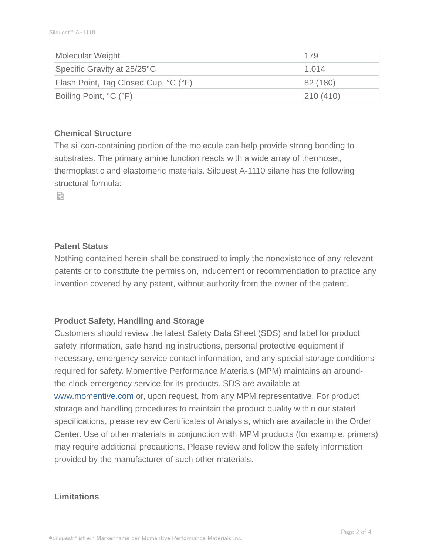| Molecular Weight                            | 179      |
|---------------------------------------------|----------|
| Specific Gravity at 25/25°C                 | 1.014    |
| <b>Flash Point, Tag Closed Cup, °C (°F)</b> | 82 (180) |
| Boiling Point, °C (°F)                      | 210(410) |

#### **Chemical Structure**

The silicon-containing portion of the molecule can help provide strong bonding to substrates. The primary amine function reacts with a wide array of thermoset, thermoplastic and elastomeric materials. Silquest A-1110 silane has the following structural formula:

e.

#### **Patent Status**

Nothing contained herein shall be construed to imply the nonexistence of any relevant patents or to constitute the permission, inducement or recommendation to practice any invention covered by any patent, without authority from the owner of the patent.

## **Product Safety, Handling and Storage**

Customers should review the latest Safety Data Sheet (SDS) and label for product safety information, safe handling instructions, personal protective equipment if necessary, emergency service contact information, and any special storage conditions required for safety. Momentive Performance Materials (MPM) maintains an aroundthe-clock emergency service for its products. SDS are available at www.momentive.com or, upon request, from any MPM representative. For product storage and handling procedures to maintain the product quality within our stated specifications, please review Certificates of Analysis, which are available in the Order Center. Use of other materials in conjunction with MPM products (for example, primers) may require additional precautions. Please review and follow the safety information provided by the manufacturer of such other materials.

#### **Limitations**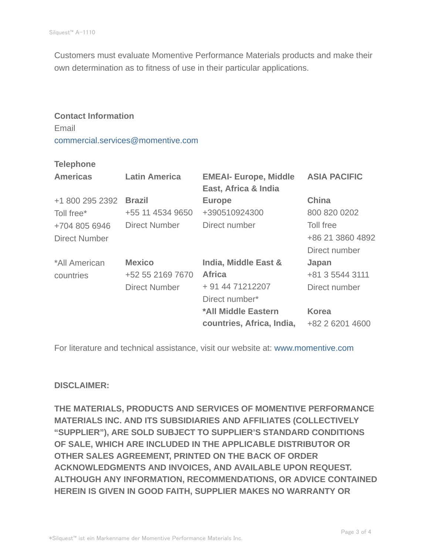Customers must evaluate Momentive Performance Materials products and make their own determination as to fitness of use in their particular applications.

#### **Contact Information** Email

commercial.services@momentive.com

#### **Telephone**

| <b>Americas</b>      | <b>Latin America</b> | <b>EMEAI- Europe, Middle</b><br>East, Africa & India | <b>ASIA PACIFIC</b> |
|----------------------|----------------------|------------------------------------------------------|---------------------|
| +1 800 295 2392      | <b>Brazil</b>        | <b>Europe</b>                                        | <b>China</b>        |
| Toll free*           | +55 11 4534 9650     | +390510924300                                        | 800 820 0202        |
| +704 805 6946        | <b>Direct Number</b> | Direct number                                        | Toll free           |
| <b>Direct Number</b> |                      |                                                      | +86 21 3860 4892    |
|                      |                      |                                                      | Direct number       |
| *All American        | <b>Mexico</b>        | India, Middle East &                                 | Japan               |
| countries            | +52 55 2169 7670     | <b>Africa</b>                                        | +81 3 5544 3111     |
|                      | <b>Direct Number</b> | + 91 44 71212207                                     | Direct number       |
|                      |                      | Direct number*                                       |                     |
|                      |                      | *All Middle Eastern                                  | <b>Korea</b>        |
|                      |                      | countries, Africa, India,                            | +82 2 6201 4600     |

For literature and technical assistance, visit our website at: www.momentive.com

## **DISCLAIMER:**

**THE MATERIALS, PRODUCTS AND SERVICES OF MOMENTIVE PERFORMANCE MATERIALS INC. AND ITS SUBSIDIARIES AND AFFILIATES (COLLECTIVELY "SUPPLIER"), ARE SOLD SUBJECT TO SUPPLIER'S STANDARD CONDITIONS OF SALE, WHICH ARE INCLUDED IN THE APPLICABLE DISTRIBUTOR OR OTHER SALES AGREEMENT, PRINTED ON THE BACK OF ORDER ACKNOWLEDGMENTS AND INVOICES, AND AVAILABLE UPON REQUEST. ALTHOUGH ANY INFORMATION, RECOMMENDATIONS, OR ADVICE CONTAINED HEREIN IS GIVEN IN GOOD FAITH, SUPPLIER MAKES NO WARRANTY OR**